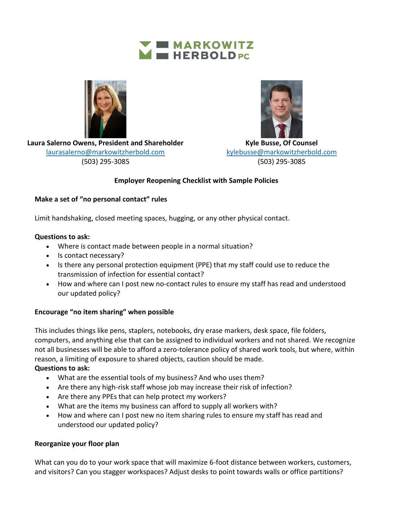



**Laura Salerno Owens, President and Shareholder**  [laurasalerno@markowitzherbold.com](mailto:laurasalerno@markowitzherbold.com) (503) 295-3085



**Kyle Busse, Of Counsel** [kylebusse@markowitzherbold.com](mailto:kylebusse@markowitzherbold.com) (503) 295-3085

# **Employer Reopening Checklist with Sample Policies**

## **Make a set of "no personal contact" rules**

Limit handshaking, closed meeting spaces, hugging, or any other physical contact.

# **Questions to ask:**

- Where is contact made between people in a normal situation?
- Is contact necessary?
- Is there any personal protection equipment (PPE) that my staff could use to reduce the transmission of infection for essential contact?
- How and where can I post new no-contact rules to ensure my staff has read and understood our updated policy?

# **Encourage "no item sharing" when possible**

This includes things like pens, staplers, notebooks, dry erase markers, desk space, file folders, computers, and anything else that can be assigned to individual workers and not shared. We recognize not all businesses will be able to afford a zero-tolerance policy of shared work tools, but where, within reason, a limiting of exposure to shared objects, caution should be made.

## **Questions to ask:**

- What are the essential tools of my business? And who uses them?
- Are there any high-risk staff whose job may increase their risk of infection?
- Are there any PPEs that can help protect my workers?
- What are the items my business can afford to supply all workers with?
- How and where can I post new no item sharing rules to ensure my staff has read and understood our updated policy?

## **Reorganize your floor plan**

What can you do to your work space that will maximize 6-foot distance between workers, customers, and visitors? Can you stagger workspaces? Adjust desks to point towards walls or office partitions?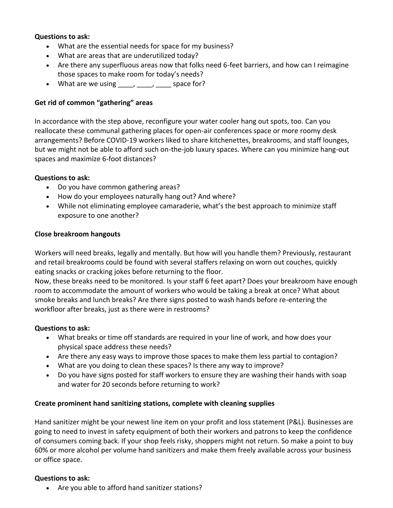#### **Questions to ask:**

- What are the essential needs for space for my business?
- What are areas that are underutilized today?
- Are there any superfluous areas now that folks need 6-feet barriers, and how can I reimagine those spaces to make room for today's needs?
- What are we using  $\blacksquare$ ,  $\blacksquare$ , space for?

## **Get rid of common "gathering" areas**

In accordance with the step above, reconfigure your water cooler hang out spots, too. Can you reallocate these communal gathering places for open-air conferences space or more roomy desk arrangements? Before COVID-19 workers liked to share kitchenettes, breakrooms, and staff lounges, but we might not be able to afford such on-the-job luxury spaces. Where can you minimize hang-out spaces and maximize 6-foot distances?

#### **Questions to ask:**

- Do you have common gathering areas?
- How do your employees naturally hang out? And where?
- While not eliminating employee camaraderie, what's the best approach to minimize staff exposure to one another?

#### **Close breakroom hangouts**

Workers will need breaks, legally and mentally. But how will you handle them? Previously, restaurant and retail breakrooms could be found with several staffers relaxing on worn out couches, quickly eating snacks or cracking jokes before returning to the floor.

Now, these breaks need to be monitored. Is your staff 6 feet apart? Does your breakroom have enough room to accommodate the amount of workers who would be taking a break at once? What about smoke breaks and lunch breaks? Are there signs posted to wash hands before re-entering the workfloor after breaks, just as there were in restrooms?

#### **Questions to ask:**

- What breaks or time off standards are required in your line of work, and how does your physical space address these needs?
- Are there any easy ways to improve those spaces to make them less partial to contagion?
- What are you doing to clean these spaces? Is there any way to improve?
- Do you have signs posted for staff workers to ensure they are washing their hands with soap and water for 20 seconds before returning to work?

## **Create prominent hand sanitizing stations, complete with cleaning supplies**

Hand sanitizer might be your newest line item on your profit and loss statement (P&L). Businesses are going to need to invest in safety equipment of both their workers and patrons to keep the confidence of consumers coming back. If your shop feels risky, shoppers might not return. So make a point to buy 60% or more alcohol per volume hand sanitizers and make them freely available across your business or office space.

#### **Questions to ask:**

• Are you able to afford hand sanitizer stations?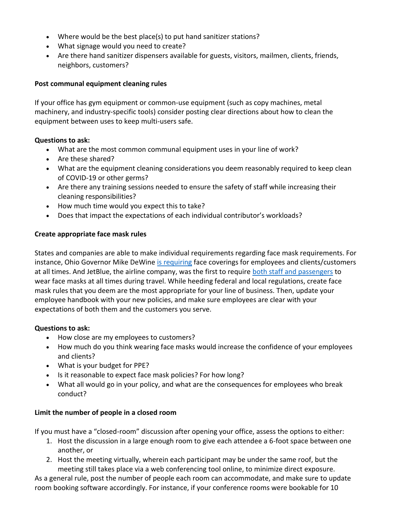- Where would be the best place(s) to put hand sanitizer stations?
- What signage would you need to create?
- Are there hand sanitizer dispensers available for guests, visitors, mailmen, clients, friends, neighbors, customers?

#### **Post communal equipment cleaning rules**

If your office has gym equipment or common-use equipment (such as copy machines, metal machinery, and industry-specific tools) consider posting clear directions about how to clean the equipment between uses to keep multi-users safe.

#### **Questions to ask:**

- What are the most common communal equipment uses in your line of work?
- Are these shared?
- What are the equipment cleaning considerations you deem reasonably required to keep clean of COVID-19 or other germs?
- Are there any training sessions needed to ensure the safety of staff while increasing their cleaning responsibilities?
- How much time would you expect this to take?
- Does that impact the expectations of each individual contributor's workloads?

## **Create appropriate face mask rules**

States and companies are able to make individual requirements regarding face mask requirements. For instance, Ohio Governor Mike DeWine [is requiring](https://fox8.com/news/coronavirus/no-mask-no-work-no-service-no-exception-when-ohioans-are-required-to-wear-face-coverings/) face coverings for employees and clients/customers at all times. And JetBlue, the airline company, was the first to require [both staff and passengers](https://nypost.com/2020/04/27/jetblue-becomes-first-us-airline-to-require-passengers-wear-face-masks/) to wear face masks at all times during travel. While heeding federal and local regulations, create face mask rules that you deem are the most appropriate for your line of business. Then, update your employee handbook with your new policies, and make sure employees are clear with your expectations of both them and the customers you serve.

## **Questions to ask:**

- How close are my employees to customers?
- How much do you think wearing face masks would increase the confidence of your employees and clients?
- What is your budget for PPE?
- Is it reasonable to expect face mask policies? For how long?
- What all would go in your policy, and what are the consequences for employees who break conduct?

## **Limit the number of people in a closed room**

If you must have a "closed-room" discussion after opening your office, assess the options to either:

- 1. Host the discussion in a large enough room to give each attendee a 6-foot space between one another, or
- 2. Host the meeting virtually, wherein each participant may be under the same roof, but the meeting still takes place via a web conferencing tool online, to minimize direct exposure.

As a general rule, post the number of people each room can accommodate, and make sure to update room booking software accordingly. For instance, if your conference rooms were bookable for 10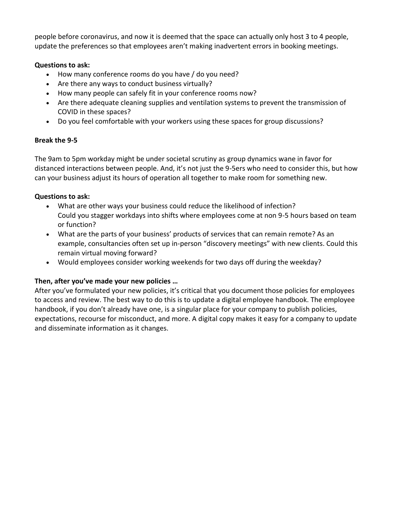people before coronavirus, and now it is deemed that the space can actually only host 3 to 4 people, update the preferences so that employees aren't making inadvertent errors in booking meetings.

# **Questions to ask:**

- How many conference rooms do you have / do you need?
- Are there any ways to conduct business virtually?
- How many people can safely fit in your conference rooms now?
- Are there adequate cleaning supplies and ventilation systems to prevent the transmission of COVID in these spaces?
- Do you feel comfortable with your workers using these spaces for group discussions?

## **Break the 9-5**

The 9am to 5pm workday might be under societal scrutiny as group dynamics wane in favor for distanced interactions between people. And, it's not just the 9-5ers who need to consider this, but how can your business adjust its hours of operation all together to make room for something new.

## **Questions to ask:**

- What are other ways your business could reduce the likelihood of infection? Could you stagger workdays into shifts where employees come at non 9-5 hours based on team or function?
- What are the parts of your business' products of services that can remain remote? As an example, consultancies often set up in-person "discovery meetings" with new clients. Could this remain virtual moving forward?
- Would employees consider working weekends for two days off during the weekday?

# **Then, after you've made your new policies …**

After you've formulated your new policies, it's critical that you document those policies for employees to access and review. The best way to do this is to update a digital employee handbook. The employee handbook, if you don't already have one, is a singular place for your company to publish policies, expectations, recourse for misconduct, and more. A digital copy makes it easy for a company to update and disseminate information as it changes.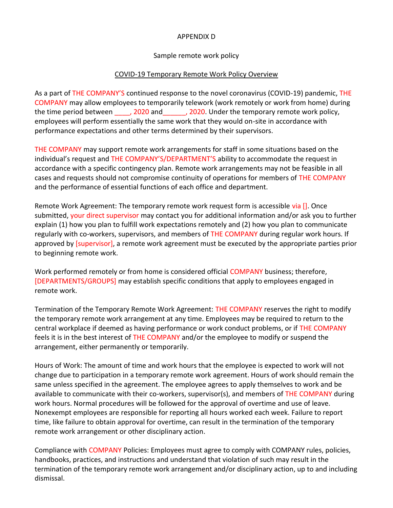#### APPENDIX D

#### Sample remote work policy

#### COVID-19 Temporary Remote Work Policy Overview

As a part of THE COMPANY'S continued response to the novel coronavirus (COVID-19) pandemic, THE COMPANY may allow employees to temporarily telework (work remotely or work from home) during the time period between and the same of 2020. Under the temporary remote work policy, employees will perform essentially the same work that they would on-site in accordance with performance expectations and other terms determined by their supervisors.

THE COMPANY may support remote work arrangements for staff in some situations based on the individual's request and THE COMPANY'S/DEPARTMENT'S ability to accommodate the request in accordance with a specific contingency plan. Remote work arrangements may not be feasible in all cases and requests should not compromise continuity of operations for members of THE COMPANY and the performance of essential functions of each office and department.

Remote Work Agreement: The temporary remote work request form is accessible via []. Once submitted, your direct supervisor may contact you for additional information and/or ask you to further explain (1) how you plan to fulfill work expectations remotely and (2) how you plan to communicate regularly with co-workers, supervisors, and members of THE COMPANY during regular work hours. If approved by [supervisor], a remote work agreement must be executed by the appropriate parties prior to beginning remote work.

Work performed remotely or from home is considered official COMPANY business; therefore, [DEPARTMENTS/GROUPS] may establish specific conditions that apply to employees engaged in remote work.

Termination of the Temporary Remote Work Agreement: THE COMPANY reserves the right to modify the temporary remote work arrangement at any time. Employees may be required to return to the central workplace if deemed as having performance or work conduct problems, or if THE COMPANY feels it is in the best interest of THE COMPANY and/or the employee to modify or suspend the arrangement, either permanently or temporarily.

Hours of Work: The amount of time and work hours that the employee is expected to work will not change due to participation in a temporary remote work agreement. Hours of work should remain the same unless specified in the agreement. The employee agrees to apply themselves to work and be available to communicate with their co-workers, supervisor(s), and members of THE COMPANY during work hours. Normal procedures will be followed for the approval of overtime and use of leave. Nonexempt employees are responsible for reporting all hours worked each week. Failure to report time, like failure to obtain approval for overtime, can result in the termination of the temporary remote work arrangement or other disciplinary action.

Compliance with COMPANY Policies: Employees must agree to comply with COMPANY rules, policies, handbooks, practices, and instructions and understand that violation of such may result in the termination of the temporary remote work arrangement and/or disciplinary action, up to and including dismissal.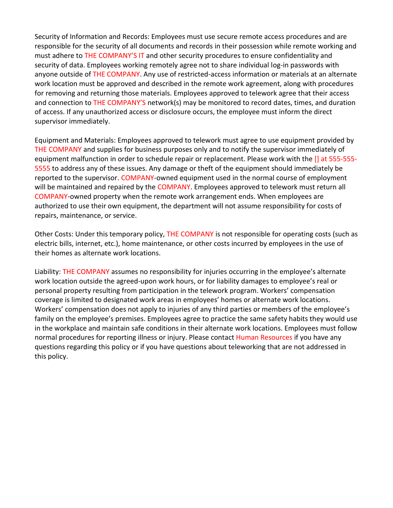Security of Information and Records: Employees must use secure remote access procedures and are responsible for the security of all documents and records in their possession while remote working and must adhere to THE COMPANY'S IT and other security procedures to ensure confidentiality and security of data. Employees working remotely agree not to share individual log-in passwords with anyone outside of THE COMPANY. Any use of restricted-access information or materials at an alternate work location must be approved and described in the remote work agreement, along with procedures for removing and returning those materials. Employees approved to telework agree that their access and connection to THE COMPANY'S network(s) may be monitored to record dates, times, and duration of access. If any unauthorized access or disclosure occurs, the employee must inform the direct supervisor immediately.

Equipment and Materials: Employees approved to telework must agree to use equipment provided by THE COMPANY and supplies for business purposes only and to notify the supervisor immediately of equipment malfunction in order to schedule repair or replacement. Please work with the [] at 555-555-5555 to address any of these issues. Any damage or theft of the equipment should immediately be reported to the supervisor. COMPANY-owned equipment used in the normal course of employment will be maintained and repaired by the COMPANY. Employees approved to telework must return all COMPANY-owned property when the remote work arrangement ends. When employees are authorized to use their own equipment, the department will not assume responsibility for costs of repairs, maintenance, or service.

Other Costs: Under this temporary policy, THE COMPANY is not responsible for operating costs (such as electric bills, internet, etc.), home maintenance, or other costs incurred by employees in the use of their homes as alternate work locations.

Liability: THE COMPANY assumes no responsibility for injuries occurring in the employee's alternate work location outside the agreed-upon work hours, or for liability damages to employee's real or personal property resulting from participation in the telework program. Workers' compensation coverage is limited to designated work areas in employees' homes or alternate work locations. Workers' compensation does not apply to injuries of any third parties or members of the employee's family on the employee's premises. Employees agree to practice the same safety habits they would use in the workplace and maintain safe conditions in their alternate work locations. Employees must follow normal procedures for reporting illness or injury. Please contact Human Resources if you have any questions regarding this policy or if you have questions about teleworking that are not addressed in this policy.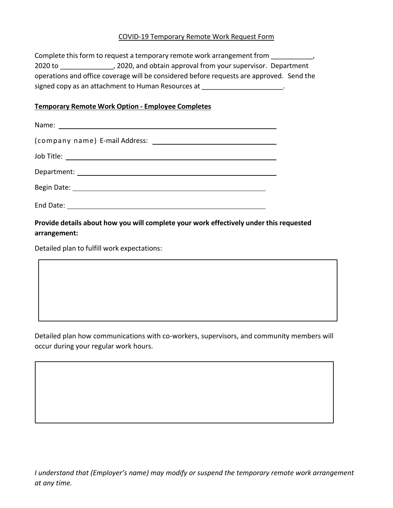#### COVID-19 Temporary Remote Work Request Form

Complete this form to request a temporary remote work arrangement from \_\_\_\_\_\_\_\_\_\_, 2020 to \_\_\_\_\_\_\_\_\_\_\_\_\_\_, 2020, and obtain approval from your supervisor. Department operations and office coverage will be considered before requests are approved. Send the signed copy as an attachment to Human Resources at

#### **Temporary Remote Work Option - Employee Completes**

| Department: National Contract of the Contract of the Contract of the Contract of the Contract of the Contract of the Contract of the Contract of the Contract of the Contract of the Contract of the Contract of the Contract |  |
|-------------------------------------------------------------------------------------------------------------------------------------------------------------------------------------------------------------------------------|--|
|                                                                                                                                                                                                                               |  |
| End Date:                                                                                                                                                                                                                     |  |

**Provide details about how you will complete your work effectively under this requested arrangement:**

Detailed plan to fulfill work expectations:

Detailed plan how communications with co-workers, supervisors, and community members will occur during your regular work hours.

*I understand that (Employer's name) may modify or suspend the temporary remote work arrangement at any time.*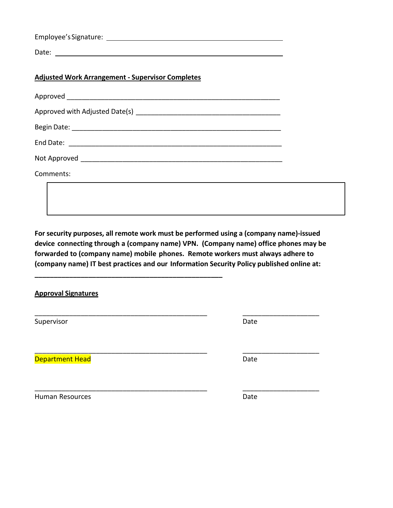|       | Employee's Signature: |  |  |
|-------|-----------------------|--|--|
| Date: |                       |  |  |

# **Adjusted Work Arrangement - Supervisor Completes**

**\_\_\_\_\_\_\_\_\_\_\_\_\_\_\_\_\_\_\_\_\_\_\_\_\_\_\_\_\_\_\_\_\_\_\_\_\_\_\_\_\_\_\_\_\_\_\_\_\_**

| Approved ________________      |
|--------------------------------|
| Approved with Adjusted Date(s) |
|                                |
| End Date:                      |
| Not Approved                   |
| Comments:                      |

**For security purposes, all remote work must be performed using a (company name)-issued device connecting through a (company name) VPN. (Company name) office phones may be forwarded to (company name) mobile phones. Remote workers must always adhere to (company name) IT best practices and our Information Security Policy published online at:** 

\_\_\_\_\_\_\_\_\_\_\_\_\_\_\_\_\_\_\_\_\_\_\_\_\_\_\_\_\_\_\_\_\_\_\_\_\_\_\_\_\_\_\_\_\_ \_\_\_\_\_\_\_\_\_\_\_\_\_\_\_\_\_\_\_\_

\_\_\_\_\_\_\_\_\_\_\_\_\_\_\_\_\_\_\_\_\_\_\_\_\_\_\_\_\_\_\_\_\_\_\_\_\_\_\_\_\_\_\_\_\_ \_\_\_\_\_\_\_\_\_\_\_\_\_\_\_\_\_\_\_\_

**Approval Signatures**

Supervisor Date

\_\_\_\_\_\_\_\_\_\_\_\_\_\_\_\_\_\_\_\_\_\_\_\_\_\_\_\_\_\_\_\_\_\_\_\_\_\_\_\_\_\_\_\_\_ \_\_\_\_\_\_\_\_\_\_\_\_\_\_\_\_\_\_\_\_ **Department Head** Date Date Date Date Date

Human Resources **Date**